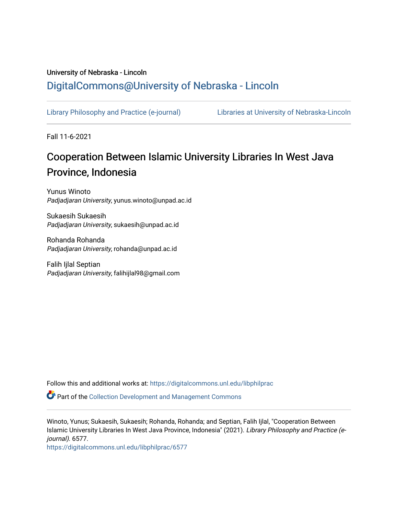## University of Nebraska - Lincoln [DigitalCommons@University of Nebraska - Lincoln](https://digitalcommons.unl.edu/)

[Library Philosophy and Practice \(e-journal\)](https://digitalcommons.unl.edu/libphilprac) [Libraries at University of Nebraska-Lincoln](https://digitalcommons.unl.edu/libraries) 

Fall 11-6-2021

# Cooperation Between Islamic University Libraries In West Java Province, Indonesia

Yunus Winoto Padjadjaran University, yunus.winoto@unpad.ac.id

Sukaesih Sukaesih Padjadjaran University, sukaesih@unpad.ac.id

Rohanda Rohanda Padjadjaran University, rohanda@unpad.ac.id

Falih Ijlal Septian Padjadjaran University, falihijlal98@gmail.com

Follow this and additional works at: [https://digitalcommons.unl.edu/libphilprac](https://digitalcommons.unl.edu/libphilprac?utm_source=digitalcommons.unl.edu%2Flibphilprac%2F6577&utm_medium=PDF&utm_campaign=PDFCoverPages) 

Part of the [Collection Development and Management Commons](http://network.bepress.com/hgg/discipline/1271?utm_source=digitalcommons.unl.edu%2Flibphilprac%2F6577&utm_medium=PDF&utm_campaign=PDFCoverPages) 

Winoto, Yunus; Sukaesih, Sukaesih; Rohanda, Rohanda; and Septian, Falih Ijlal, "Cooperation Between Islamic University Libraries In West Java Province, Indonesia" (2021). Library Philosophy and Practice (ejournal). 6577.

[https://digitalcommons.unl.edu/libphilprac/6577](https://digitalcommons.unl.edu/libphilprac/6577?utm_source=digitalcommons.unl.edu%2Flibphilprac%2F6577&utm_medium=PDF&utm_campaign=PDFCoverPages)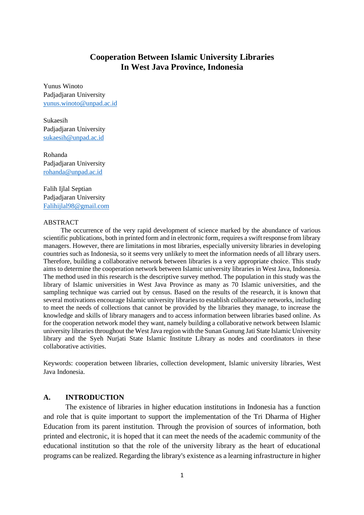### **Cooperation Between Islamic University Libraries In West Java Province, Indonesia**

Yunus Winoto Padjadjaran University [yunus.winoto@unpad.ac.id](mailto:yunus.winoto@unpad.ac.id)

Sukaesih Padjadjaran University [sukaesih@unpad.ac.id](mailto:sukaesih@unpad.ac.id)

Rohanda Padjadjaran University rohanda@unpad.ac.id

Falih Ijlal Septian Padjadjaran University [Falihijlal98@gmail.com](mailto:Falihijlal98@gmail.com)

#### ABSTRACT

The occurrence of the very rapid development of science marked by the abundance of various scientific publications, both in printed form and in electronic form, requires a swift response from library managers. However, there are limitations in most libraries, especially university libraries in developing countries such as Indonesia, so it seems very unlikely to meet the information needs of all library users. Therefore, building a collaborative network between libraries is a very appropriate choice. This study aims to determine the cooperation network between Islamic university libraries in West Java, Indonesia. The method used in this research is the descriptive survey method. The population in this study was the library of Islamic universities in West Java Province as many as 70 Islamic universities, and the sampling technique was carried out by census. Based on the results of the research, it is known that several motivations encourage Islamic university libraries to establish collaborative networks, including to meet the needs of collections that cannot be provided by the libraries they manage, to increase the knowledge and skills of library managers and to access information between libraries based online. As for the cooperation network model they want, namely building a collaborative network between Islamic university libraries throughout the West Java region with the Sunan Gunung Jati State Islamic University library and the Syeh Nurjati State Islamic Institute Library as nodes and coordinators in these collaborative activities.

Keywords: cooperation between libraries, collection development, Islamic university libraries, West Java Indonesia.

#### **A. INTRODUCTION**

The existence of libraries in higher education institutions in Indonesia has a function and role that is quite important to support the implementation of the Tri Dharma of Higher Education from its parent institution. Through the provision of sources of information, both printed and electronic, it is hoped that it can meet the needs of the academic community of the educational institution so that the role of the university library as the heart of educational programs can be realized. Regarding the library's existence as a learning infrastructure in higher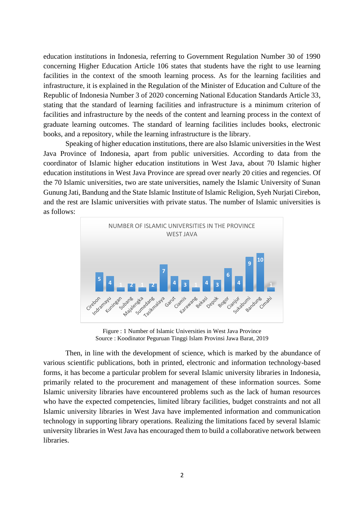education institutions in Indonesia, referring to Government Regulation Number 30 of 1990 concerning Higher Education Article 106 states that students have the right to use learning facilities in the context of the smooth learning process. As for the learning facilities and infrastructure, it is explained in the Regulation of the Minister of Education and Culture of the Republic of Indonesia Number 3 of 2020 concerning National Education Standards Article 33, stating that the standard of learning facilities and infrastructure is a minimum criterion of facilities and infrastructure by the needs of the content and learning process in the context of graduate learning outcomes. The standard of learning facilities includes books, electronic books, and a repository, while the learning infrastructure is the library.

Speaking of higher education institutions, there are also Islamic universities in the West Java Province of Indonesia, apart from public universities. According to data from the coordinator of Islamic higher education institutions in West Java, about 70 Islamic higher education institutions in West Java Province are spread over nearly 20 cities and regencies. Of the 70 Islamic universities, two are state universities, namely the Islamic University of Sunan Gunung Jati, Bandung and the State Islamic Institute of Islamic Religion, Syeh Nurjati Cirebon, and the rest are Islamic universities with private status. The number of Islamic universities is as follows:



Figure : 1 Number of Islamic Universities in West Java Province Source : Koodinator Peguruan Tinggi Islam Provinsi Jawa Barat, 2019

Then, in line with the development of science, which is marked by the abundance of various scientific publications, both in printed, electronic and information technology-based forms, it has become a particular problem for several Islamic university libraries in Indonesia, primarily related to the procurement and management of these information sources. Some Islamic university libraries have encountered problems such as the lack of human resources who have the expected competencies, limited library facilities, budget constraints and not all Islamic university libraries in West Java have implemented information and communication technology in supporting library operations. Realizing the limitations faced by several Islamic university libraries in West Java has encouraged them to build a collaborative network between libraries.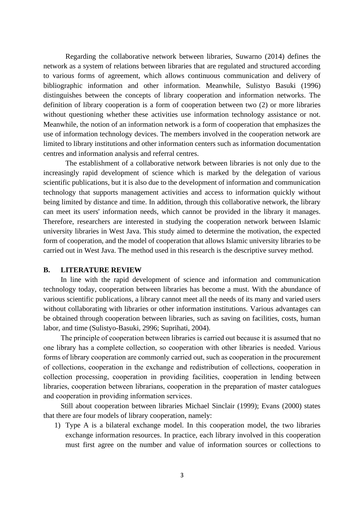Regarding the collaborative network between libraries, Suwarno (2014) defines the network as a system of relations between libraries that are regulated and structured according to various forms of agreement, which allows continuous communication and delivery of bibliographic information and other information. Meanwhile, Sulistyo Basuki (1996) distinguishes between the concepts of library cooperation and information networks. The definition of library cooperation is a form of cooperation between two (2) or more libraries without questioning whether these activities use information technology assistance or not. Meanwhile, the notion of an information network is a form of cooperation that emphasizes the use of information technology devices. The members involved in the cooperation network are limited to library institutions and other information centers such as information documentation centres and information analysis and referral centres.

The establishment of a collaborative network between libraries is not only due to the increasingly rapid development of science which is marked by the delegation of various scientific publications, but it is also due to the development of information and communication technology that supports management activities and access to information quickly without being limited by distance and time. In addition, through this collaborative network, the library can meet its users' information needs, which cannot be provided in the library it manages. Therefore, researchers are interested in studying the cooperation network between Islamic university libraries in West Java. This study aimed to determine the motivation, the expected form of cooperation, and the model of cooperation that allows Islamic university libraries to be carried out in West Java. The method used in this research is the descriptive survey method.

#### **B. LITERATURE REVIEW**

In line with the rapid development of science and information and communication technology today, cooperation between libraries has become a must. With the abundance of various scientific publications, a library cannot meet all the needs of its many and varied users without collaborating with libraries or other information institutions. Various advantages can be obtained through cooperation between libraries, such as saving on facilities, costs, human labor, and time (Sulistyo-Basuki, 2996; Suprihati, 2004).

The principle of cooperation between libraries is carried out because it is assumed that no one library has a complete collection, so cooperation with other libraries is needed. Various forms of library cooperation are commonly carried out, such as cooperation in the procurement of collections, cooperation in the exchange and redistribution of collections, cooperation in collection processing, cooperation in providing facilities, cooperation in lending between libraries, cooperation between librarians, cooperation in the preparation of master catalogues and cooperation in providing information services.

Still about cooperation between libraries Michael Sinclair (1999); Evans (2000) states that there are four models of library cooperation, namely:

1) Type A is a bilateral exchange model. In this cooperation model, the two libraries exchange information resources. In practice, each library involved in this cooperation must first agree on the number and value of information sources or collections to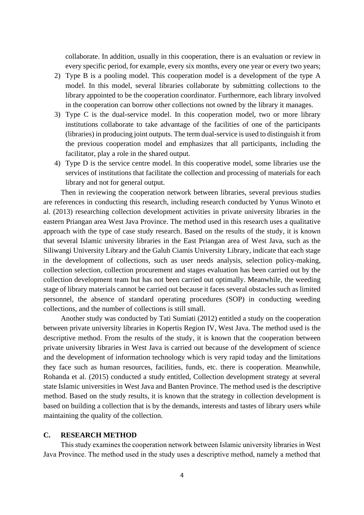collaborate. In addition, usually in this cooperation, there is an evaluation or review in every specific period, for example, every six months, every one year or every two years;

- 2) Type B is a pooling model. This cooperation model is a development of the type A model. In this model, several libraries collaborate by submitting collections to the library appointed to be the cooperation coordinator. Furthermore, each library involved in the cooperation can borrow other collections not owned by the library it manages.
- 3) Type C is the dual-service model. In this cooperation model, two or more library institutions collaborate to take advantage of the facilities of one of the participants (libraries) in producing joint outputs. The term dual-service is used to distinguish it from the previous cooperation model and emphasizes that all participants, including the facilitator, play a role in the shared output.
- 4) Type D is the service centre model. In this cooperative model, some libraries use the services of institutions that facilitate the collection and processing of materials for each library and not for general output.

Then in reviewing the cooperation network between libraries, several previous studies are references in conducting this research, including research conducted by Yunus Winoto et al. (2013) researching collection development activities in private university libraries in the eastern Priangan area West Java Province. The method used in this research uses a qualitative approach with the type of case study research. Based on the results of the study, it is known that several Islamic university libraries in the East Priangan area of West Java, such as the Siliwangi University Library and the Galuh Ciamis University Library, indicate that each stage in the development of collections, such as user needs analysis, selection policy-making, collection selection, collection procurement and stages evaluation has been carried out by the collection development team but has not been carried out optimally. Meanwhile, the weeding stage of library materials cannot be carried out because it faces several obstacles such as limited personnel, the absence of standard operating procedures (SOP) in conducting weeding collections, and the number of collections is still small.

Another study was conducted by Tati Sumiati (2012) entitled a study on the cooperation between private university libraries in Kopertis Region IV, West Java. The method used is the descriptive method. From the results of the study, it is known that the cooperation between private university libraries in West Java is carried out because of the development of science and the development of information technology which is very rapid today and the limitations they face such as human resources, facilities, funds, etc. there is cooperation. Meanwhile, Rohanda et al. (2015) conducted a study entitled, Collection development strategy at several state Islamic universities in West Java and Banten Province. The method used is the descriptive method. Based on the study results, it is known that the strategy in collection development is based on building a collection that is by the demands, interests and tastes of library users while maintaining the quality of the collection.

#### **C. RESEARCH METHOD**

This study examines the cooperation network between Islamic university libraries in West Java Province. The method used in the study uses a descriptive method, namely a method that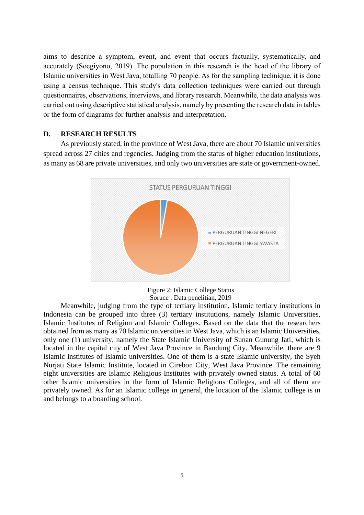aims to describe a symptom, event, and event that occurs factually, systematically, and accurately (Soegiyono, 2019). The population in this research is the head of the library of Islamic universities in West Java, totalling 70 people. As for the sampling technique, it is done using a census technique. This study's data collection techniques were carried out through questionnaires, observations, interviews, and library research. Meanwhile, the data analysis was carried out using descriptive statistical analysis, namely by presenting the research data in tables or the form of diagrams for further analysis and interpretation.

#### **D. RESEARCH RESULTS**

As previously stated, in the province of West Java, there are about 70 Islamic universities spread across 27 cities and regencies. Judging from the status of higher education institutions, as many as 68 are private universities, and only two universities are state or government-owned.



Figure 2: Islamic College Status Soruce : Data penelitian, 2019

Meanwhile, judging from the type of tertiary institution, Islamic tertiary institutions in Indonesia can be grouped into three (3) tertiary institutions, namely Islamic Universities, Islamic Institutes of Religion and Islamic Colleges. Based on the data that the researchers obtained from as many as 70 Islamic universities in West Java, which is an Islamic Universities, only one (1) university, namely the State Islamic University of Sunan Gunung Jati, which is located in the capital city of West Java Province in Bandung City. Meanwhile, there are 9 Islamic institutes of Islamic universities. One of them is a state Islamic university, the Syeh Nurjati State Islamic Institute, located in Cirebon City, West Java Province. The remaining eight universities are Islamic Religious Institutes with privately owned status. A total of 60 other Islamic universities in the form of Islamic Religious Colleges, and all of them are privately owned. As for an Islamic college in general, the location of the Islamic college is in and belongs to a boarding school.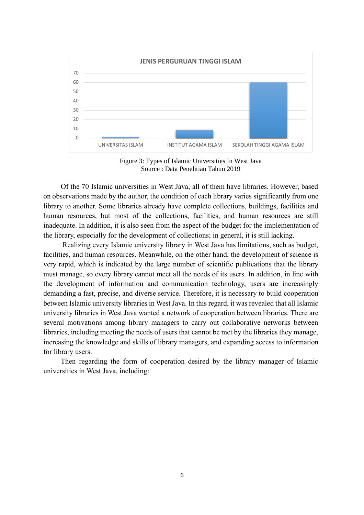

Figure 3: Types of Islamic Universities In West Java Source : Data Penelitian Tahun 2019

Of the 70 Islamic universities in West Java, all of them have libraries. However, based on observations made by the author, the condition of each library varies significantly from one library to another. Some libraries already have complete collections, buildings, facilities and human resources, but most of the collections, facilities, and human resources are still inadequate. In addition, it is also seen from the aspect of the budget for the implementation of the library, especially for the development of collections; in general, it is still lacking.

Realizing every Islamic university library in West Java has limitations, such as budget, facilities, and human resources. Meanwhile, on the other hand, the development of science is very rapid, which is indicated by the large number of scientific publications that the library must manage, so every library cannot meet all the needs of its users. In addition, in line with the development of information and communication technology, users are increasingly demanding a fast, precise, and diverse service. Therefore, it is necessary to build cooperation between Islamic university libraries in West Java. In this regard, it was revealed that all Islamic university libraries in West Java wanted a network of cooperation between libraries. There are several motivations among library managers to carry out collaborative networks between libraries, including meeting the needs of users that cannot be met by the libraries they manage, increasing the knowledge and skills of library managers, and expanding access to information for library users.

Then regarding the form of cooperation desired by the library manager of Islamic universities in West Java, including: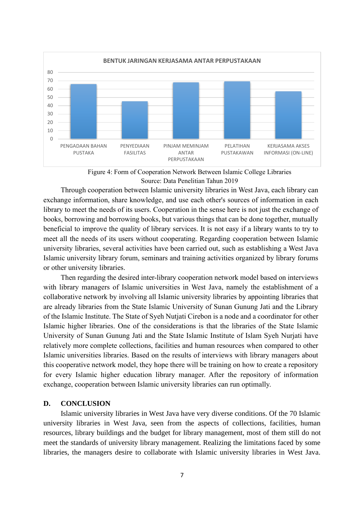

Figure 4: Form of Cooperation Network Between Islamic College Libraries Source: Data Penelitian Tahun 2019

Through cooperation between Islamic university libraries in West Java, each library can exchange information, share knowledge, and use each other's sources of information in each library to meet the needs of its users. Cooperation in the sense here is not just the exchange of books, borrowing and borrowing books, but various things that can be done together, mutually beneficial to improve the quality of library services. It is not easy if a library wants to try to meet all the needs of its users without cooperating. Regarding cooperation between Islamic university libraries, several activities have been carried out, such as establishing a West Java Islamic university library forum, seminars and training activities organized by library forums or other university libraries.

Then regarding the desired inter-library cooperation network model based on interviews with library managers of Islamic universities in West Java, namely the establishment of a collaborative network by involving all Islamic university libraries by appointing libraries that are already libraries from the State Islamic University of Sunan Gunung Jati and the Library of the Islamic Institute. The State of Syeh Nutjati Cirebon is a node and a coordinator for other Islamic higher libraries. One of the considerations is that the libraries of the State Islamic University of Sunan Gunung Jati and the State Islamic Institute of Islam Syeh Nurjati have relatively more complete collections, facilities and human resources when compared to other Islamic universities libraries. Based on the results of interviews with library managers about this cooperative network model, they hope there will be training on how to create a repository for every Islamic higher education library manager. After the repository of information exchange, cooperation between Islamic university libraries can run optimally.

#### **D. CONCLUSION**

Islamic university libraries in West Java have very diverse conditions. Of the 70 Islamic university libraries in West Java, seen from the aspects of collections, facilities, human resources, library buildings and the budget for library management, most of them still do not meet the standards of university library management. Realizing the limitations faced by some libraries, the managers desire to collaborate with Islamic university libraries in West Java.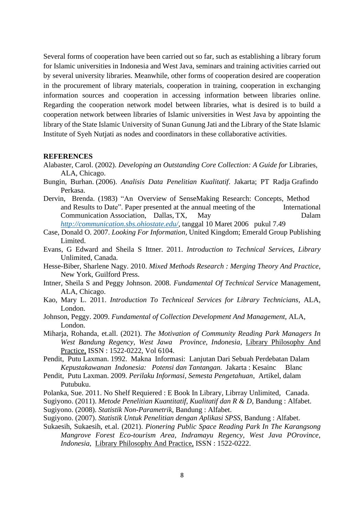Several forms of cooperation have been carried out so far, such as establishing a library forum for Islamic universities in Indonesia and West Java, seminars and training activities carried out by several university libraries. Meanwhile, other forms of cooperation desired are cooperation in the procurement of library materials, cooperation in training, cooperation in exchanging information sources and cooperation in accessing information between libraries online. Regarding the cooperation network model between libraries, what is desired is to build a cooperation network between libraries of Islamic universities in West Java by appointing the library of the State Islamic University of Sunan Gunung Jati and the Library of the State Islamic Institute of Syeh Nutjati as nodes and coordinators in these collaborative activities.

#### **REFERENCES**

- Alabaster, Carol. (2002). *Developing an Outstanding Core Collection: A Guide for Libraries*, ALA, Chicago.
- Bungin, Burhan. (2006). *Analisis Data Penelitian Kualitatif*. Jakarta; PT Radja Grafindo Perkasa.
- Dervin, Brenda. (1983) "An Overview of SenseMaking Research: Concepts, Method and Results to Date". Paper presented at the annual meeting of the International Communication Association, Dallas, TX, May Dalam *<http://communication.sbs.ohiostate.edu/>*, tanggal 10 Maret 2006 pukul 7.49
- Case, Donald O. 2007. *Looking For Information,* United Kingdom; Emerald Group Publishing Limited.
- Evans, G Edward and Sheila S Ittner. 2011. *Introduction to Technical Services, Library* Unlimited, Canada.
- Hesse-Biber, Sharlene Nagy. 2010. *Mixed Methods Research : Merging Theory And Practice*, New York, Guilford Press.
- Intner, Sheila S and Peggy Johnson. 2008. *Fundamental Of Technical Service* Management, ALA, Chicago.
- Kao, Mary L. 2011. *Introduction To Techniceal Services for Library Technicians*, ALA, London.
- Johnson, Peggy. 2009. *Fundamental of Collection Development And Management,* ALA, London.
- Miharja, Rohanda, et.all. (2021). *The Motivation of Community Reading Park Managers In West Bandung Regency, West Jawa Province, Indonesia*, Library Philosophy And Practice, ISSN : 1522-0222, Vol 6104.
- Pendit, Putu Laxman. 1992. Makna Informasi: Lanjutan Dari Sebuah Perdebatan Dalam *Kepustakawanan Indonesia: Potensi dan Tantangan.* Jakarta : Kesainc Blanc
- Pendit, Putu Laxman. 2009. *Perilaku Informasi, Semesta Pengetahuan*, Artikel, dalam Putubuku.
- Polanka, Sue. 2011. No Shelf Requiered : E Book In Library, Librray Unlimited, Canada.
- Sugiyono. (2011). *Metode Penelitian Kuantitatif, Kualitatif dan R & D*, Bandung : Alfabet.
- Sugiyono. (2008). *Statistik Non-Parametrik*, Bandung : Alfabet.
- Sugiyono. (2007). *Statistik Untuk Penelitian dengan Aplikasi SPSS*, Bandung : Alfabet.
- Sukaesih, Sukaesih, et.al. (2021). *Pionering Public Space Reading Park In The Karangsong Mangrove Forest Eco-tourism Area, Indramayu Regency, West Java POrovince, Indonesia,* Library Philosophy And Practice, ISSN : 1522-0222.